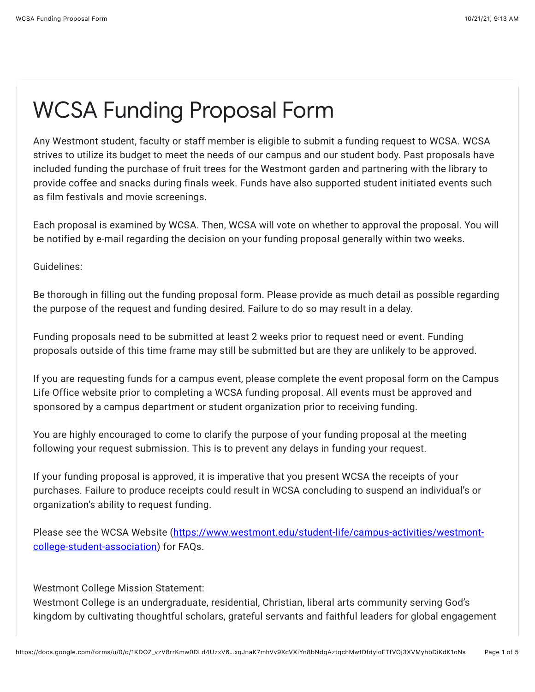## WCSA Funding Proposal Form

Any Westmont student, faculty or staff member is eligible to submit a funding request to WCSA. WCSA strives to utilize its budget to meet the needs of our campus and our student body. Past proposals have included funding the purchase of fruit trees for the Westmont garden and partnering with the library to provide coffee and snacks during finals week. Funds have also supported student initiated events such as film festivals and movie screenings.

Each proposal is examined by WCSA. Then, WCSA will vote on whether to approval the proposal. You will be notified by e-mail regarding the decision on your funding proposal generally within two weeks.

Guidelines:

Be thorough in filling out the funding proposal form. Please provide as much detail as possible regarding the purpose of the request and funding desired. Failure to do so may result in a delay.

Funding proposals need to be submitted at least 2 weeks prior to request need or event. Funding proposals outside of this time frame may still be submitted but are they are unlikely to be approved.

If you are requesting funds for a campus event, please complete the event proposal form on the Campus Life Office website prior to completing a WCSA funding proposal. All events must be approved and sponsored by a campus department or student organization prior to receiving funding.

You are highly encouraged to come to clarify the purpose of your funding proposal at the meeting following your request submission. This is to prevent any delays in funding your request.

If your funding proposal is approved, it is imperative that you present WCSA the receipts of your purchases. Failure to produce receipts could result in WCSA concluding to suspend an individual's or organization's ability to request funding.

[Please see the WCSA Website \(https://www.westmont.edu/student-life/campus-activities/westmont](https://www.google.com/url?q=https://www.westmont.edu/student-life/campus-activities/westmont-college-student-association&sa=D&source=editors&ust=1634836406345000&usg=AOvVaw0UyawpST2WyyAcfqn-Ip1z)college-student-association) for FAQs.

Westmont College Mission Statement:

Westmont College is an undergraduate, residential, Christian, liberal arts community serving God's kingdom by cultivating thoughtful scholars, grateful servants and faithful leaders for global engagement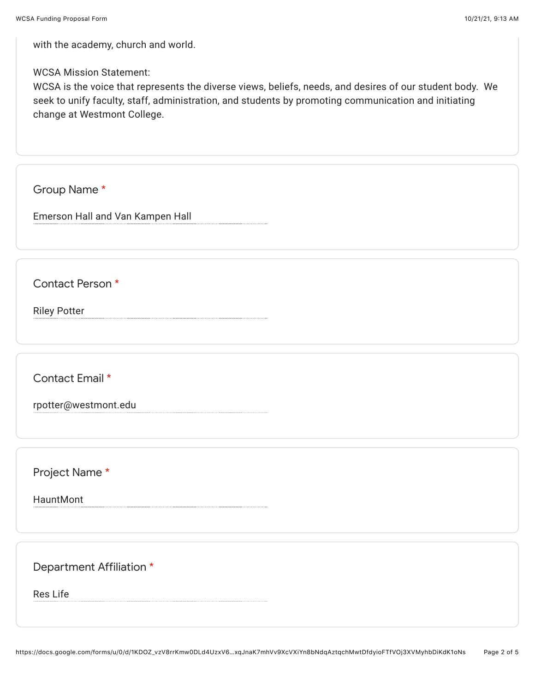with the academy, church and world.

## WCSA Mission Statement:

WCSA is the voice that represents the diverse views, beliefs, needs, and desires of our student body. We seek to unify faculty, staff, administration, and students by promoting communication and initiating change at Westmont College.

Group Name \*

Emerson Hall and Van Kampen Hall

Contact Person \*

Riley Potter

Contact Email \*

rpotter@westmont.edu

Project Name \*

HauntMont

Department Affiliation \*

Res Life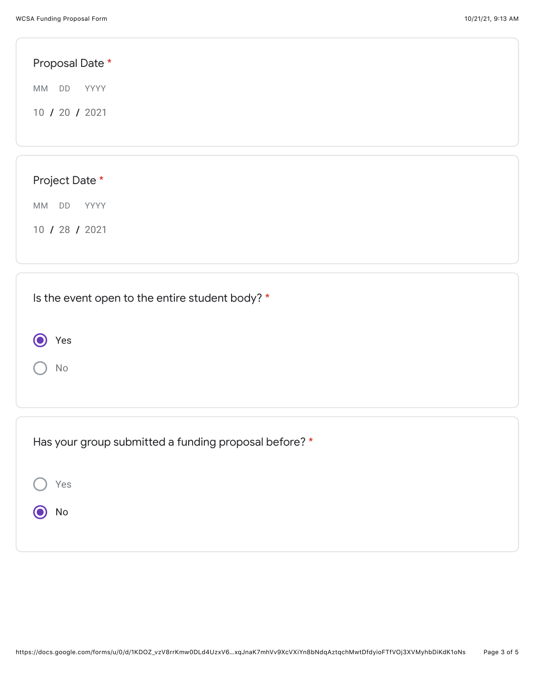| Proposal Date *                                 |
|-------------------------------------------------|
| MM DD<br>YYYY                                   |
| 10 / 20 / 2021                                  |
|                                                 |
|                                                 |
| Project Date *                                  |
| MM DD YYYY                                      |
| 10 / 28 / 2021                                  |
|                                                 |
| Is the event open to the entire student body? * |
| Yes                                             |

Has your group submitted a funding proposal before? \*

Yes O No

No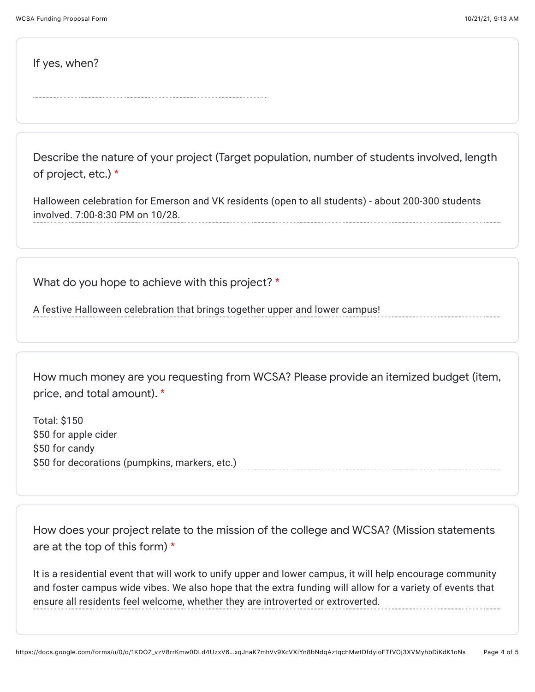If yes, when?

Describe the nature of your project (Target population, number of students involved, length of project, etc.) \*

Halloween celebration for Emerson and VK residents (open to all students) - about 200-300 students involved. 7:00-8:30 PM on 10/28.

What do you hope to achieve with this project? \*

A festive Halloween celebration that brings together upper and lower campus!

How much money are you requesting from WCSA? Please provide an itemized budget (item, price, and total amount). \*

Total: \$150 \$50 for apple cider \$50 for candy \$50 for decorations (pumpkins, markers, etc.)

How does your project relate to the mission of the college and WCSA? (Mission statements are at the top of this form) \*

It is a residential event that will work to unify upper and lower campus, it will help encourage community and foster campus wide vibes. We also hope that the extra funding will allow for a variety of events that ensure all residents feel welcome, whether they are introverted or extroverted.